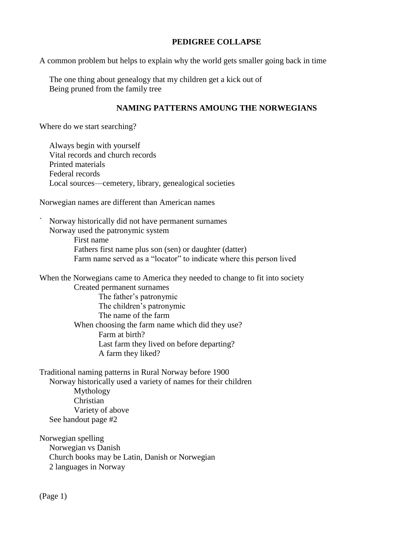## **PEDIGREE COLLAPSE**

A common problem but helps to explain why the world gets smaller going back in time

The one thing about genealogy that my children get a kick out of Being pruned from the family tree

## **NAMING PATTERNS AMOUNG THE NORWEGIANS**

Where do we start searching?

Always begin with yourself Vital records and church records Printed materials Federal records Local sources—cemetery, library, genealogical societies

Norwegian names are different than American names

` Norway historically did not have permanent surnames Norway used the patronymic system

> First name Fathers first name plus son (sen) or daughter (datter) Farm name served as a "locator" to indicate where this person lived

When the Norwegians came to America they needed to change to fit into society Created permanent surnames The father's patronymic The children's patronymic The name of the farm When choosing the farm name which did they use? Farm at birth? Last farm they lived on before departing? A farm they liked?

Traditional naming patterns in Rural Norway before 1900 Norway historically used a variety of names for their children Mythology Christian Variety of above See handout page #2

Norwegian spelling Norwegian vs Danish Church books may be Latin, Danish or Norwegian 2 languages in Norway